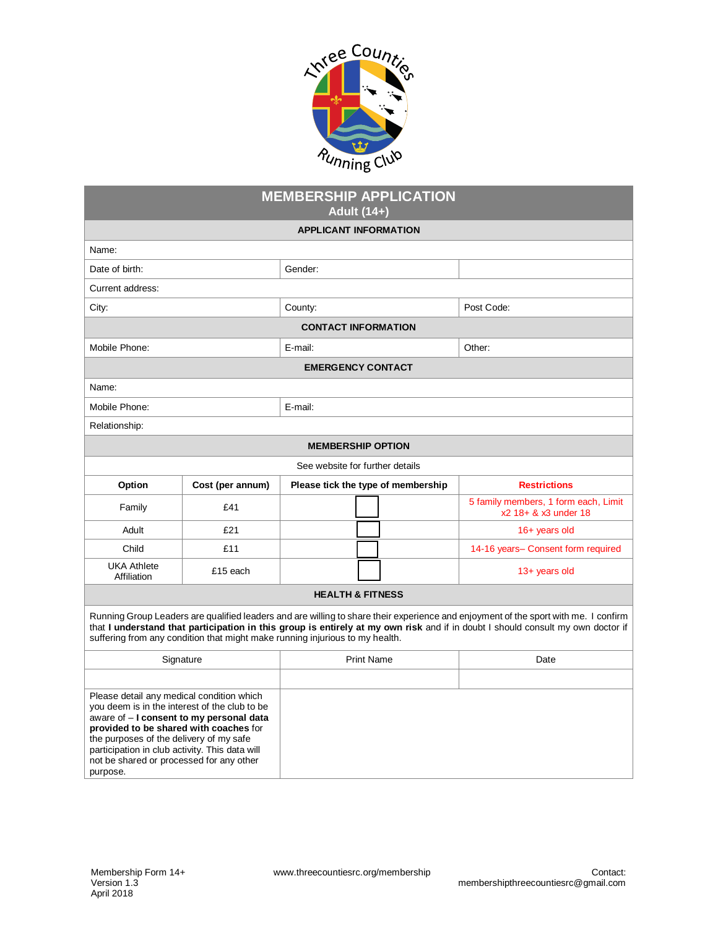

| <b>MEMBERSHIP APPLICATION</b>                                                                                                                                                                                                                                                                                                                          |                  |                   |                                    |                                                              |  |  |
|--------------------------------------------------------------------------------------------------------------------------------------------------------------------------------------------------------------------------------------------------------------------------------------------------------------------------------------------------------|------------------|-------------------|------------------------------------|--------------------------------------------------------------|--|--|
| Adult (14+)<br><b>APPLICANT INFORMATION</b>                                                                                                                                                                                                                                                                                                            |                  |                   |                                    |                                                              |  |  |
| Name:                                                                                                                                                                                                                                                                                                                                                  |                  |                   |                                    |                                                              |  |  |
| Date of birth:                                                                                                                                                                                                                                                                                                                                         |                  | Gender:           |                                    |                                                              |  |  |
| Current address:                                                                                                                                                                                                                                                                                                                                       |                  |                   |                                    |                                                              |  |  |
| City:                                                                                                                                                                                                                                                                                                                                                  |                  | County:           |                                    | Post Code:                                                   |  |  |
| <b>CONTACT INFORMATION</b>                                                                                                                                                                                                                                                                                                                             |                  |                   |                                    |                                                              |  |  |
| Mobile Phone:                                                                                                                                                                                                                                                                                                                                          |                  | E-mail:           |                                    | Other:                                                       |  |  |
| <b>EMERGENCY CONTACT</b>                                                                                                                                                                                                                                                                                                                               |                  |                   |                                    |                                                              |  |  |
| Name:                                                                                                                                                                                                                                                                                                                                                  |                  |                   |                                    |                                                              |  |  |
| Mobile Phone.                                                                                                                                                                                                                                                                                                                                          |                  | E-mail:           |                                    |                                                              |  |  |
| Relationship:                                                                                                                                                                                                                                                                                                                                          |                  |                   |                                    |                                                              |  |  |
| <b>MEMBERSHIP OPTION</b>                                                                                                                                                                                                                                                                                                                               |                  |                   |                                    |                                                              |  |  |
| See website for further details                                                                                                                                                                                                                                                                                                                        |                  |                   |                                    |                                                              |  |  |
| Option                                                                                                                                                                                                                                                                                                                                                 | Cost (per annum) |                   | Please tick the type of membership | <b>Restrictions</b>                                          |  |  |
| Family                                                                                                                                                                                                                                                                                                                                                 | £41              |                   |                                    | 5 family members, 1 form each, Limit<br>x2 18+ & x3 under 18 |  |  |
| Adult                                                                                                                                                                                                                                                                                                                                                  | £21              |                   |                                    | $16+$ years old                                              |  |  |
| Child                                                                                                                                                                                                                                                                                                                                                  | £11              |                   |                                    | 14-16 years- Consent form required                           |  |  |
| <b>UKA Athlete</b><br>Affiliation                                                                                                                                                                                                                                                                                                                      | £15 each         |                   |                                    | $13+$ years old                                              |  |  |
| <b>HEALTH &amp; FITNESS</b>                                                                                                                                                                                                                                                                                                                            |                  |                   |                                    |                                                              |  |  |
| Running Group Leaders are qualified leaders and are willing to share their experience and enjoyment of the sport with me. I confirm<br>that I understand that participation in this group is entirely at my own risk and if in doubt I should consult my own doctor if<br>suffering from any condition that might make running injurious to my health. |                  |                   |                                    |                                                              |  |  |
| Signature                                                                                                                                                                                                                                                                                                                                              |                  | <b>Print Name</b> |                                    | Date                                                         |  |  |
| Please detail any medical condition which<br>you deem is in the interest of the club to be<br>aware of - I consent to my personal data<br>provided to be shared with coaches for<br>the purposes of the delivery of my safe                                                                                                                            |                  |                   |                                    |                                                              |  |  |
| participation in club activity. This data will<br>not be shared or processed for any other                                                                                                                                                                                                                                                             |                  |                   |                                    |                                                              |  |  |

purpose.